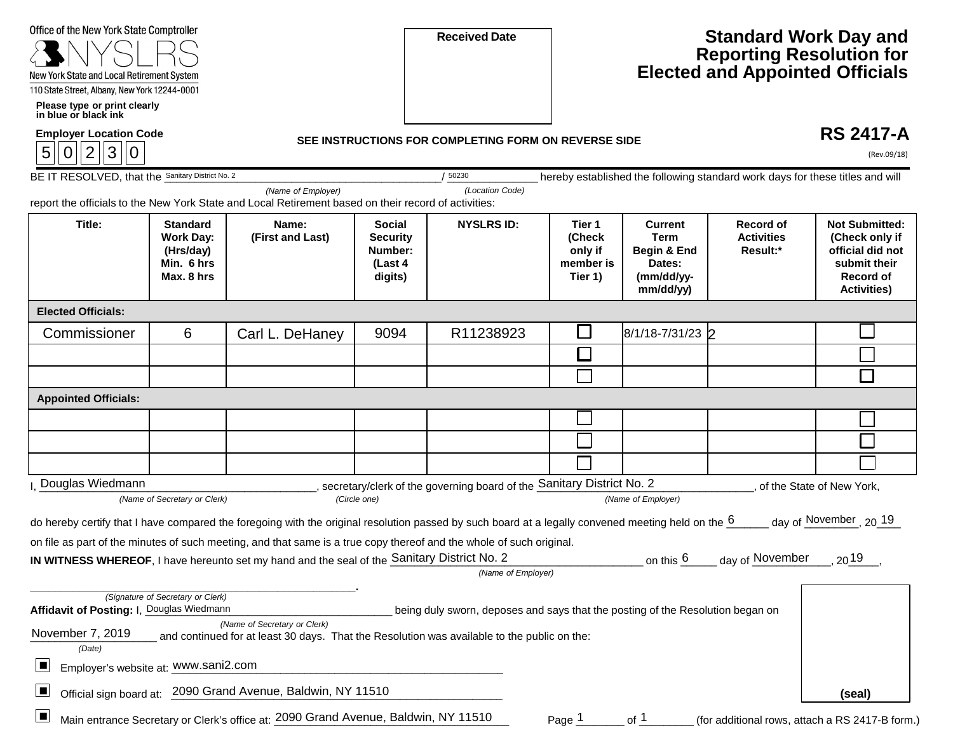| Office of the New York State Comptroller |  |  |
|------------------------------------------|--|--|
|------------------------------------------|--|--|



 **Please type or print clearly in blue or black ink** 

| <b>Employer Location Coo</b> |  |  |  |  |  |  |  |
|------------------------------|--|--|--|--|--|--|--|
|                              |  |  |  |  |  |  |  |

**Received Date** 

## **Standard Work Day and Reporting Resolution for Elected and Appointed Officials**

**Employer Location Code SEE INSTRUCTIONS FOR COMPLETING FORM ON REVERSE SIDE** 

## **RS 2417-A**

| 3 <br>2<br>$\overline{0}$<br>5<br> 0             |                                                                              |                                                                                                                                                    |                                                                   |                                                                                |                                                     |                                                                                   |                                                                               | (Rev.09/18)                                                                                                    |
|--------------------------------------------------|------------------------------------------------------------------------------|----------------------------------------------------------------------------------------------------------------------------------------------------|-------------------------------------------------------------------|--------------------------------------------------------------------------------|-----------------------------------------------------|-----------------------------------------------------------------------------------|-------------------------------------------------------------------------------|----------------------------------------------------------------------------------------------------------------|
| BE IT RESOLVED, that the Sanitary District No. 2 |                                                                              |                                                                                                                                                    |                                                                   | 50230                                                                          |                                                     |                                                                                   | hereby established the following standard work days for these titles and will |                                                                                                                |
|                                                  |                                                                              | (Name of Employer)<br>report the officials to the New York State and Local Retirement based on their record of activities:                         |                                                                   | (Location Code)                                                                |                                                     |                                                                                   |                                                                               |                                                                                                                |
| Title:                                           | <b>Standard</b><br><b>Work Day:</b><br>(Hrs/day)<br>Min. 6 hrs<br>Max. 8 hrs | Name:<br>(First and Last)                                                                                                                          | <b>Social</b><br><b>Security</b><br>Number:<br>(Last 4<br>digits) | <b>NYSLRS ID:</b>                                                              | Tier 1<br>(Check<br>only if<br>member is<br>Tier 1) | <b>Current</b><br><b>Term</b><br>Begin & End<br>Dates:<br>(mm/dd/yy-<br>mm/dd/yy) | Record of<br><b>Activities</b><br>Result:*                                    | <b>Not Submitted:</b><br>(Check only if<br>official did not<br>submit their<br>Record of<br><b>Activities)</b> |
| <b>Elected Officials:</b>                        |                                                                              |                                                                                                                                                    |                                                                   |                                                                                |                                                     |                                                                                   |                                                                               |                                                                                                                |
| Commissioner                                     | 6                                                                            | Carl L. DeHaney                                                                                                                                    | 9094                                                              | R11238923                                                                      | l I                                                 | 8/1/18-7/31/23 2                                                                  |                                                                               |                                                                                                                |
|                                                  |                                                                              |                                                                                                                                                    |                                                                   |                                                                                | $\Box$                                              |                                                                                   |                                                                               |                                                                                                                |
|                                                  |                                                                              |                                                                                                                                                    |                                                                   |                                                                                |                                                     |                                                                                   |                                                                               | $\Box$                                                                                                         |
| <b>Appointed Officials:</b>                      |                                                                              |                                                                                                                                                    |                                                                   |                                                                                |                                                     |                                                                                   |                                                                               |                                                                                                                |
|                                                  |                                                                              |                                                                                                                                                    |                                                                   |                                                                                |                                                     |                                                                                   |                                                                               |                                                                                                                |
|                                                  |                                                                              |                                                                                                                                                    |                                                                   |                                                                                |                                                     |                                                                                   |                                                                               |                                                                                                                |
|                                                  |                                                                              |                                                                                                                                                    |                                                                   |                                                                                |                                                     |                                                                                   |                                                                               |                                                                                                                |
| Douglas Wiedmann                                 |                                                                              |                                                                                                                                                    |                                                                   | secretary/clerk of the governing board of the <b>Sanitary District No. 2</b>   |                                                     |                                                                                   |                                                                               | of the State of New York,                                                                                      |
|                                                  | (Name of Secretary or Clerk)                                                 |                                                                                                                                                    | (Circle one)                                                      |                                                                                |                                                     | (Name of Employer)                                                                |                                                                               |                                                                                                                |
|                                                  |                                                                              | do hereby certify that I have compared the foregoing with the original resolution passed by such board at a legally convened meeting held on the 6 |                                                                   |                                                                                |                                                     |                                                                                   |                                                                               | day of November, 20 19                                                                                         |
|                                                  |                                                                              | on file as part of the minutes of such meeting, and that same is a true copy thereof and the whole of such original.                               |                                                                   |                                                                                |                                                     |                                                                                   |                                                                               |                                                                                                                |
|                                                  |                                                                              | IN WITNESS WHEREOF, I have hereunto set my hand and the seal of the Sanitary District No. 2                                                        |                                                                   | (Name of Employer)                                                             |                                                     | on this $6$                                                                       | day of November                                                               | $20^{19}$                                                                                                      |
|                                                  |                                                                              |                                                                                                                                                    |                                                                   |                                                                                |                                                     |                                                                                   |                                                                               |                                                                                                                |
| Affidavit of Posting: I, Douglas Wiedmann        | (Signature of Secretary or Clerk)                                            |                                                                                                                                                    |                                                                   | being duly sworn, deposes and says that the posting of the Resolution began on |                                                     |                                                                                   |                                                                               |                                                                                                                |
| November 7, 2019                                 |                                                                              | (Name of Secretary or Clerk)                                                                                                                       |                                                                   |                                                                                |                                                     |                                                                                   |                                                                               |                                                                                                                |
| (Date)                                           |                                                                              | and continued for at least 30 days. That the Resolution was available to the public on the:                                                        |                                                                   |                                                                                |                                                     |                                                                                   |                                                                               |                                                                                                                |
| ▣<br>Employer's website at: www.sani2.com        |                                                                              |                                                                                                                                                    |                                                                   |                                                                                |                                                     |                                                                                   |                                                                               |                                                                                                                |
| $\Box$                                           |                                                                              | Official sign board at: 2090 Grand Avenue, Baldwin, NY 11510                                                                                       |                                                                   |                                                                                |                                                     |                                                                                   |                                                                               | (seal)                                                                                                         |
| $\Box$                                           |                                                                              | Main entrance Secretary or Clerk's office at: 2090 Grand Avenue, Baldwin, NY 11510                                                                 |                                                                   |                                                                                | Page $1$                                            | of $1$                                                                            | (for additional rows, attach a RS 2417-B form.)                               |                                                                                                                |